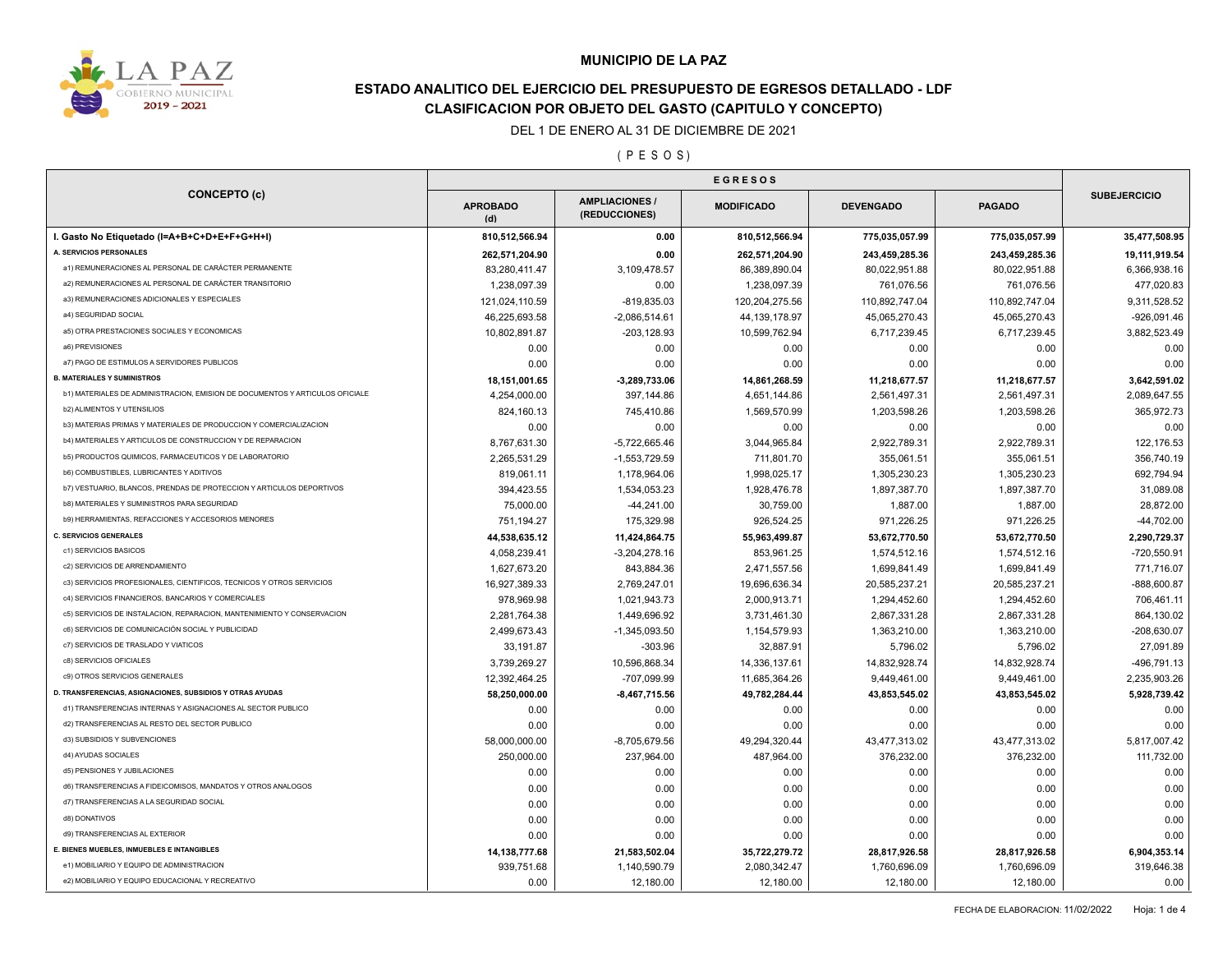

## **ESTADO ANALITICO DEL EJERCICIO DEL PRESUPUESTO DE EGRESOS DETALLADO - LDF CLASIFICACION POR OBJETO DEL GASTO (CAPITULO Y CONCEPTO)**

#### DEL 1 DE ENERO AL 31 DE DICIEMBRE DE 2021

( P E S O S )

| <b>CONCEPTO (c)</b>                                                          |                        |                                        |                   |                  |                |                     |
|------------------------------------------------------------------------------|------------------------|----------------------------------------|-------------------|------------------|----------------|---------------------|
|                                                                              | <b>APROBADO</b><br>(d) | <b>AMPLIACIONES /</b><br>(REDUCCIONES) | <b>MODIFICADO</b> | <b>DEVENGADO</b> | <b>PAGADO</b>  | <b>SUBEJERCICIO</b> |
| I. Gasto No Etiquetado (I=A+B+C+D+E+F+G+H+I)                                 | 810,512,566.94         | 0.00                                   | 810,512,566.94    | 775,035,057.99   | 775,035,057.99 | 35,477,508.95       |
| A. SERVICIOS PERSONALES                                                      | 262,571,204.90         | 0.00                                   | 262,571,204.90    | 243,459,285.36   | 243,459,285.36 | 19,111,919.54       |
| a1) REMUNERACIONES AL PERSONAL DE CARÁCTER PERMANENTE                        | 83,280,411.47          | 3,109,478.57                           | 86,389,890.04     | 80,022,951.88    | 80,022,951.88  | 6,366,938.16        |
| a2) REMUNERACIONES AL PERSONAL DE CARÁCTER TRANSITORIO                       | 1.238.097.39           | 0.00                                   | 1,238,097.39      | 761.076.56       | 761,076.56     | 477,020.83          |
| a3) REMUNERACIONES ADICIONALES Y ESPECIALES                                  | 121,024,110.59         | $-819,835.03$                          | 120,204,275.56    | 110,892,747.04   | 110,892,747.04 | 9,311,528.52        |
| a4) SEGURIDAD SOCIAL                                                         | 46,225,693.58          | $-2,086,514.61$                        | 44, 139, 178.97   | 45,065,270.43    | 45,065,270.43  | $-926,091.46$       |
| a5) OTRA PRESTACIONES SOCIALES Y ECONOMICAS                                  | 10,802,891.87          | $-203, 128.93$                         | 10,599,762.94     | 6,717,239.45     | 6,717,239.45   | 3,882,523.49        |
| a6) PREVISIONES                                                              | 0.00                   | 0.00                                   | 0.00              | 0.00             | 0.00           | 0.00                |
| a7) PAGO DE ESTIMULOS A SERVIDORES PUBLICOS                                  | 0.00                   | 0.00                                   | 0.00              | 0.00             | 0.00           | 0.00                |
| <b>B. MATERIALES Y SUMINISTROS</b>                                           | 18,151,001.65          | $-3,289,733.06$                        | 14,861,268.59     | 11,218,677.57    | 11,218,677.57  | 3,642,591.02        |
| b1) MATERIALES DE ADMINISTRACION, EMISION DE DOCUMENTOS Y ARTICULOS OFICIALE | 4,254,000.00           | 397,144.86                             | 4,651,144.86      | 2,561,497.31     | 2,561,497.31   | 2,089,647.55        |
| <b>b2) ALIMENTOS Y UTENSILIOS</b>                                            | 824,160.13             | 745,410.86                             | 1,569,570.99      | 1,203,598.26     | 1,203,598.26   | 365.972.73          |
| b3) MATERIAS PRIMAS Y MATERIALES DE PRODUCCION Y COMERCIALIZACION            | 0.00                   | 0.00                                   | 0.00              | 0.00             | 0.00           | 0.00                |
| b4) MATERIALES Y ARTICULOS DE CONSTRUCCION Y DE REPARACION                   | 8,767,631.30           | $-5,722,665.46$                        | 3,044,965.84      | 2,922,789.31     | 2,922,789.31   | 122,176.53          |
| b5) PRODUCTOS QUIMICOS, FARMACEUTICOS Y DE LABORATORIO                       | 2,265,531.29           | -1,553,729.59                          | 711,801.70        | 355,061.51       | 355,061.51     | 356,740.19          |
| <b>b6) COMBUSTIBLES, LUBRICANTES Y ADITIVOS</b>                              | 819,061.11             | 1,178,964.06                           | 1,998,025.17      | 1,305,230.23     | 1,305,230.23   | 692,794.94          |
| b7) VESTUARIO, BLANCOS, PRENDAS DE PROTECCION Y ARTICULOS DEPORTIVOS         | 394,423.55             | 1,534,053.23                           | 1,928,476.78      | 1,897,387.70     | 1,897,387.70   | 31,089.08           |
| <b>b8) MATERIALES Y SUMINISTROS PARA SEGURIDAD</b>                           | 75,000.00              | $-44,241.00$                           | 30,759.00         | 1,887.00         | 1,887.00       | 28,872.00           |
| b9) HERRAMIENTAS, REFACCIONES Y ACCESORIOS MENORES                           | 751,194.27             | 175,329.98                             | 926,524.25        | 971,226.25       | 971,226.25     | $-44,702.00$        |
| <b>C. SERVICIOS GENERALES</b>                                                | 44,538,635.12          | 11,424,864.75                          | 55,963,499.87     | 53,672,770.50    | 53,672,770.50  | 2,290,729.37        |
| c1) SERVICIOS BASICOS                                                        | 4,058,239.41           | $-3,204,278.16$                        | 853,961.25        | 1,574,512.16     | 1,574,512.16   | $-720,550.91$       |
| c2) SERVICIOS DE ARRENDAMIENTO                                               | 1,627,673.20           | 843,884.36                             | 2,471,557.56      | 1,699,841.49     | 1,699,841.49   | 771,716.07          |
| c3) SERVICIOS PROFESIONALES, CIENTIFICOS, TECNICOS Y OTROS SERVICIOS         | 16,927,389.33          | 2,769,247.01                           | 19,696,636.34     | 20,585,237.21    | 20,585,237.21  | $-888,600.87$       |
| c4) SERVICIOS FINANCIEROS, BANCARIOS Y COMERCIALES                           | 978,969.98             | 1,021,943.73                           | 2,000,913.71      | 1,294,452.60     | 1,294,452.60   | 706,461.11          |
| c5) SERVICIOS DE INSTALACION, REPARACION, MANTENIMIENTO Y CONSERVACION       | 2,281,764.38           | 1,449,696.92                           | 3,731,461.30      | 2,867,331.28     | 2,867,331.28   | 864,130.02          |
| c6) SERVICIOS DE COMUNICACIÓN SOCIAL Y PUBLICIDAD                            | 2,499,673.43           | $-1,345,093.50$                        | 1,154,579.93      | 1,363,210.00     | 1,363,210.00   | $-208,630.07$       |
| c7) SERVICIOS DE TRASLADO Y VIATICOS                                         | 33,191.87              | $-303.96$                              | 32,887.91         | 5,796.02         | 5,796.02       | 27,091.89           |
| c8) SERVICIOS OFICIALES                                                      | 3.739.269.27           | 10,596,868.34                          | 14,336,137.61     | 14,832,928.74    | 14,832,928.74  | -496.791.13         |
| c9) OTROS SERVICIOS GENERALES                                                | 12,392,464.25          | -707,099.99                            | 11,685,364.26     | 9,449,461.00     | 9,449,461.00   | 2,235,903.26        |
| D. TRANSFERENCIAS, ASIGNACIONES, SUBSIDIOS Y OTRAS AYUDAS                    | 58,250,000.00          | $-8,467,715.56$                        | 49,782,284.44     | 43,853,545.02    | 43,853,545.02  | 5,928,739.42        |
| d1) TRANSFERENCIAS INTERNAS Y ASIGNACIONES AL SECTOR PUBLICO                 | 0.00                   | 0.00                                   | 0.00              | 0.00             | 0.00           | 0.00                |
| d2) TRANSFERENCIAS AL RESTO DEL SECTOR PUBLICO                               | 0.00                   | 0.00                                   | 0.00              | 0.00             | 0.00           | 0.00                |
| d3) SUBSIDIOS Y SUBVENCIONES                                                 | 58,000,000.00          | $-8,705,679.56$                        | 49,294,320.44     | 43,477,313.02    | 43,477,313.02  | 5,817,007.42        |
| d4) AYUDAS SOCIALES                                                          | 250,000.00             | 237,964.00                             | 487,964.00        | 376,232.00       | 376,232.00     | 111,732.00          |
| d5) PENSIONES Y JUBILACIONES                                                 | 0.00                   | 0.00                                   | 0.00              | 0.00             | 0.00           | 0.00                |
| d6) TRANSFERENCIAS A FIDEICOMISOS, MANDATOS Y OTROS ANALOGOS                 | 0.00                   | 0.00                                   | 0.00              | 0.00             | 0.00           | 0.00                |
| d7) TRANSFERENCIAS A LA SEGURIDAD SOCIAL                                     | 0.00                   | 0.00                                   | 0.00              | 0.00             | 0.00           | 0.00                |
| d8) DONATIVOS                                                                | 0.00                   | 0.00                                   | 0.00              | 0.00             | 0.00           | 0.00                |
| d9) TRANSFERENCIAS AL EXTERIOR                                               | 0.00                   | 0.00                                   | 0.00              | 0.00             | 0.00           | 0.00                |
| E. BIENES MUEBLES, INMUEBLES E INTANGIBLES                                   | 14,138,777.68          | 21,583,502.04                          | 35,722,279.72     | 28,817,926.58    | 28,817,926.58  | 6,904,353.14        |
| e1) MOBILIARIO Y EQUIPO DE ADMINISTRACION                                    | 939,751.68             | 1,140,590.79                           | 2,080,342.47      | 1,760,696.09     | 1,760,696.09   | 319,646.38          |
| e2) MOBILIARIO Y EQUIPO EDUCACIONAL Y RECREATIVO                             | 0.00                   | 12,180.00                              | 12,180.00         | 12,180.00        | 12,180.00      | 0.00                |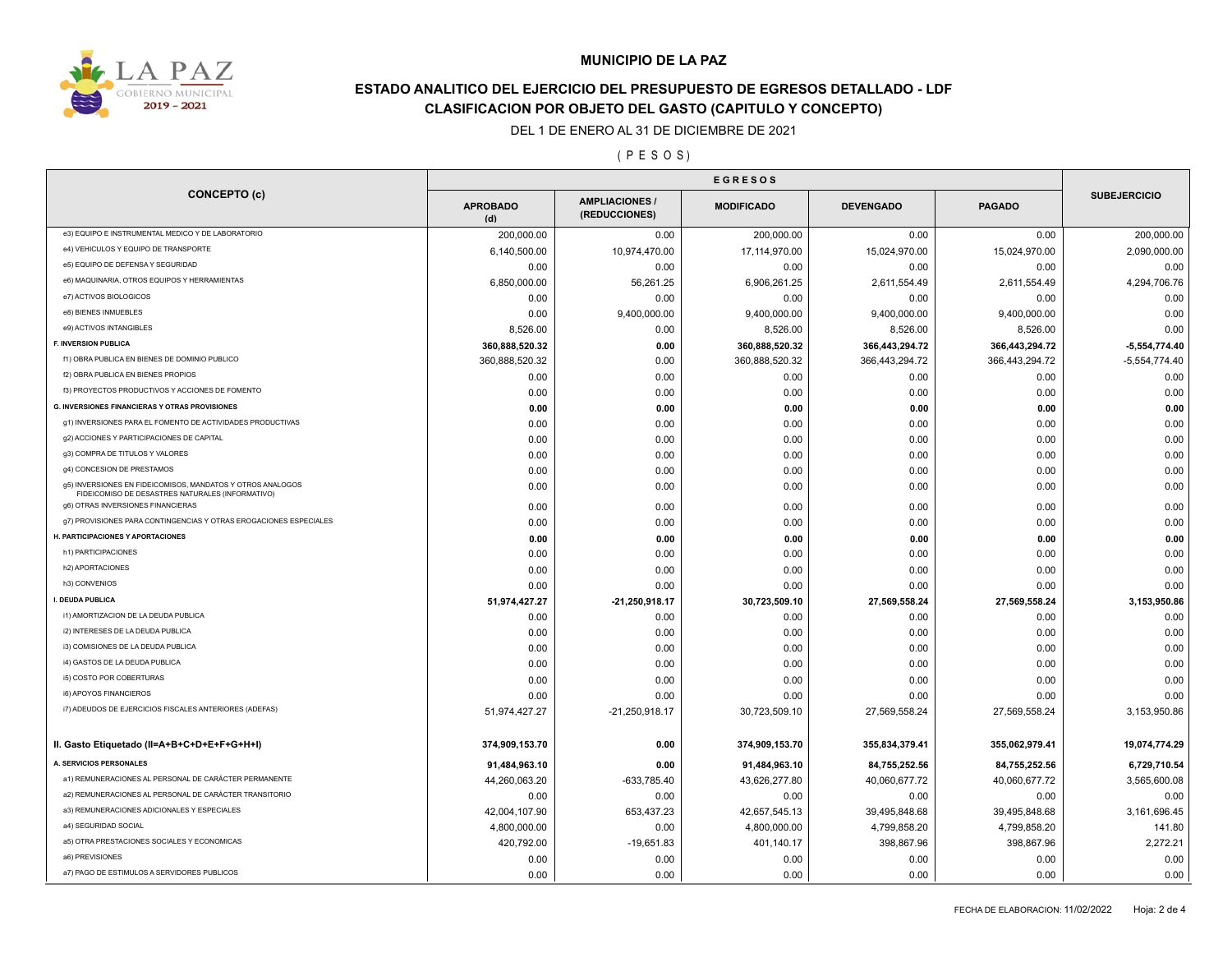

## **ESTADO ANALITICO DEL EJERCICIO DEL PRESUPUESTO DE EGRESOS DETALLADO - LDF CLASIFICACION POR OBJETO DEL GASTO (CAPITULO Y CONCEPTO)**

DEL 1 DE ENERO AL 31 DE DICIEMBRE DE 2021

( P E S O S )

| <b>CONCEPTO (c)</b>                                                                                            | <b>APROBADO</b><br>(d) | <b>AMPLIACIONES</b><br>(REDUCCIONES) | <b>MODIFICADO</b> | <b>DEVENGADO</b> | <b>PAGADO</b>  | <b>SUBEJERCICIO</b> |
|----------------------------------------------------------------------------------------------------------------|------------------------|--------------------------------------|-------------------|------------------|----------------|---------------------|
| e3) EQUIPO E INSTRUMENTAL MEDICO Y DE LABORATORIO                                                              | 200,000.00             | 0.00                                 | 200,000.00        | 0.00             | 0.00           | 200,000.00          |
| e4) VEHICULOS Y EQUIPO DE TRANSPORTE                                                                           | 6,140,500.00           | 10,974,470.00                        | 17,114,970.00     | 15,024,970.00    | 15,024,970.00  | 2,090,000.00        |
| e5) EQUIPO DE DEFENSA Y SEGURIDAD                                                                              | 0.00                   | 0.00                                 | 0.00              | 0.00             | 0.00           | 0.00                |
| e6) MAQUINARIA, OTROS EQUIPOS Y HERRAMIENTAS                                                                   | 6,850,000.00           | 56,261.25                            | 6,906,261.25      | 2,611,554.49     | 2,611,554.49   | 4,294,706.76        |
| e7) ACTIVOS BIOLOGICOS                                                                                         | 0.00                   | 0.00                                 | 0.00              | 0.00             | 0.00           | 0.00                |
| e8) BIENES INMUEBLES                                                                                           | 0.00                   | 9,400,000.00                         | 9,400,000.00      | 9,400,000.00     | 9,400,000.00   | 0.00                |
| e9) ACTIVOS INTANGIBLES                                                                                        | 8,526.00               | 0.00                                 | 8,526.00          | 8,526.00         | 8,526.00       | 0.00                |
| F. INVERSION PUBLICA                                                                                           | 360,888,520.32         | 0.00                                 | 360,888,520.32    | 366,443,294.72   | 366,443,294.72 | $-5,554,774.40$     |
| f1) OBRA PUBLICA EN BIENES DE DOMINIO PUBLICO                                                                  | 360,888,520.32         | 0.00                                 | 360,888,520.32    | 366,443,294.72   | 366,443,294.72 | $-5,554,774.40$     |
| f2) OBRA PUBLICA EN BIENES PROPIOS                                                                             | 0.00                   | 0.00                                 | 0.00              | 0.00             | 0.00           | 0.00                |
| f3) PROYECTOS PRODUCTIVOS Y ACCIONES DE FOMENTO                                                                | 0.00                   | 0.00                                 | 0.00              | 0.00             | 0.00           | 0.00                |
| G. INVERSIONES FINANCIERAS Y OTRAS PROVISIONES                                                                 | 0.00                   | 0.00                                 | 0.00              | 0.00             | 0.00           | 0.00                |
| g1) INVERSIONES PARA EL FOMENTO DE ACTIVIDADES PRODUCTIVAS                                                     | 0.00                   | 0.00                                 | 0.00              | 0.00             | 0.00           | 0.00                |
| g2) ACCIONES Y PARTICIPACIONES DE CAPITAL                                                                      | 0.00                   | 0.00                                 | 0.00              | 0.00             | 0.00           | 0.00                |
| g3) COMPRA DE TITULOS Y VALORES                                                                                | 0.00                   | 0.00                                 | 0.00              | 0.00             | 0.00           | 0.00                |
| g4) CONCESION DE PRESTAMOS                                                                                     | 0.00                   | 0.00                                 | 0.00              | 0.00             | 0.00           | 0.00                |
| g5) INVERSIONES EN FIDEICOMISOS, MANDATOS Y OTROS ANALOGOS<br>FIDEICOMISO DE DESASTRES NATURALES (INFORMATIVO) | 0.00                   | 0.00                                 | 0.00              | 0.00             | 0.00           | 0.00                |
| g6) OTRAS INVERSIONES FINANCIERAS                                                                              | 0.00                   | 0.00                                 | 0.00              | 0.00             | 0.00           | 0.00                |
| g7) PROVISIONES PARA CONTINGENCIAS Y OTRAS EROGACIONES ESPECIALES                                              | 0.00                   | 0.00                                 | 0.00              | 0.00             | 0.00           | 0.00                |
| H. PARTICIPACIONES Y APORTACIONES                                                                              | 0.00                   | 0.00                                 | 0.00              | 0.00             | 0.00           | 0.00                |
| h1) PARTICIPACIONES                                                                                            | 0.00                   | 0.00                                 | 0.00              | 0.00             | 0.00           | 0.00                |
| h2) APORTACIONES                                                                                               | 0.00                   | 0.00                                 | 0.00              | 0.00             | 0.00           | 0.00                |
| h3) CONVENIOS                                                                                                  | 0.00                   | 0.00                                 | 0.00              | 0.00             | 0.00           | 0.00                |
| I. DEUDA PUBLICA                                                                                               | 51,974,427.27          | -21,250,918.17                       | 30,723,509.10     | 27,569,558.24    | 27,569,558.24  | 3,153,950.86        |
| i1) AMORTIZACION DE LA DEUDA PUBLICA                                                                           | 0.00                   | 0.00                                 | 0.00              | 0.00             | 0.00           | 0.00                |
| i2) INTERESES DE LA DEUDA PUBLICA                                                                              | 0.00                   | 0.00                                 | 0.00              | 0.00             | 0.00           | 0.00                |
| i3) COMISIONES DE LA DEUDA PUBLICA                                                                             | 0.00                   | 0.00                                 | 0.00              | 0.00             | 0.00           | 0.00                |
| i4) GASTOS DE LA DEUDA PUBLICA                                                                                 | 0.00                   | 0.00                                 | 0.00              | 0.00             | 0.00           | 0.00                |
| i5) COSTO POR COBERTURAS                                                                                       | 0.00                   | 0.00                                 | 0.00              | 0.00             | 0.00           | 0.00                |
| i6) APOYOS FINANCIEROS                                                                                         | 0.00                   | 0.00                                 | 0.00              | 0.00             | 0.00           | 0.00                |
| i7) ADEUDOS DE EJERCICIOS FISCALES ANTERIORES (ADEFAS)                                                         | 51,974,427.27          | -21,250,918.17                       | 30,723,509.10     | 27,569,558.24    | 27,569,558.24  | 3,153,950.86        |
| II. Gasto Etiquetado (II=A+B+C+D+E+F+G+H+I)                                                                    | 374,909,153.70         | 0.00                                 | 374,909,153.70    | 355,834,379.41   | 355,062,979.41 | 19,074,774.29       |
| A. SERVICIOS PERSONALES                                                                                        | 91,484,963.10          | 0.00                                 | 91,484,963.10     | 84,755,252.56    | 84,755,252.56  | 6,729,710.54        |
| a1) REMUNERACIONES AL PERSONAL DE CARÁCTER PERMANENTE                                                          | 44,260,063.20          | $-633,785.40$                        | 43,626,277.80     | 40,060,677.72    | 40,060,677.72  | 3,565,600.08        |
| a2) REMUNERACIONES AL PERSONAL DE CARÁCTER TRANSITORIO                                                         | 0.00                   | 0.00                                 | 0.00              | 0.00             | 0.00           | 0.00                |
| a3) REMUNERACIONES ADICIONALES Y ESPECIALES                                                                    | 42,004,107.90          | 653,437.23                           | 42,657,545.13     | 39,495,848.68    | 39,495,848.68  | 3,161,696.45        |
| a4) SEGURIDAD SOCIAL                                                                                           | 4,800,000.00           | 0.00                                 | 4,800,000.00      | 4,799,858.20     | 4,799,858.20   | 141.80              |
| a5) OTRA PRESTACIONES SOCIALES Y ECONOMICAS                                                                    | 420,792.00             | $-19,651.83$                         | 401,140.17        | 398,867.96       | 398,867.96     | 2,272.21            |
| a6) PREVISIONES                                                                                                | 0.00                   | 0.00                                 | 0.00              | 0.00             | 0.00           | 0.00                |
| a7) PAGO DE ESTIMULOS A SERVIDORES PUBLICOS                                                                    | 0.00                   | 0.00                                 | 0.00              | 0.00             | 0.00           | 0.00                |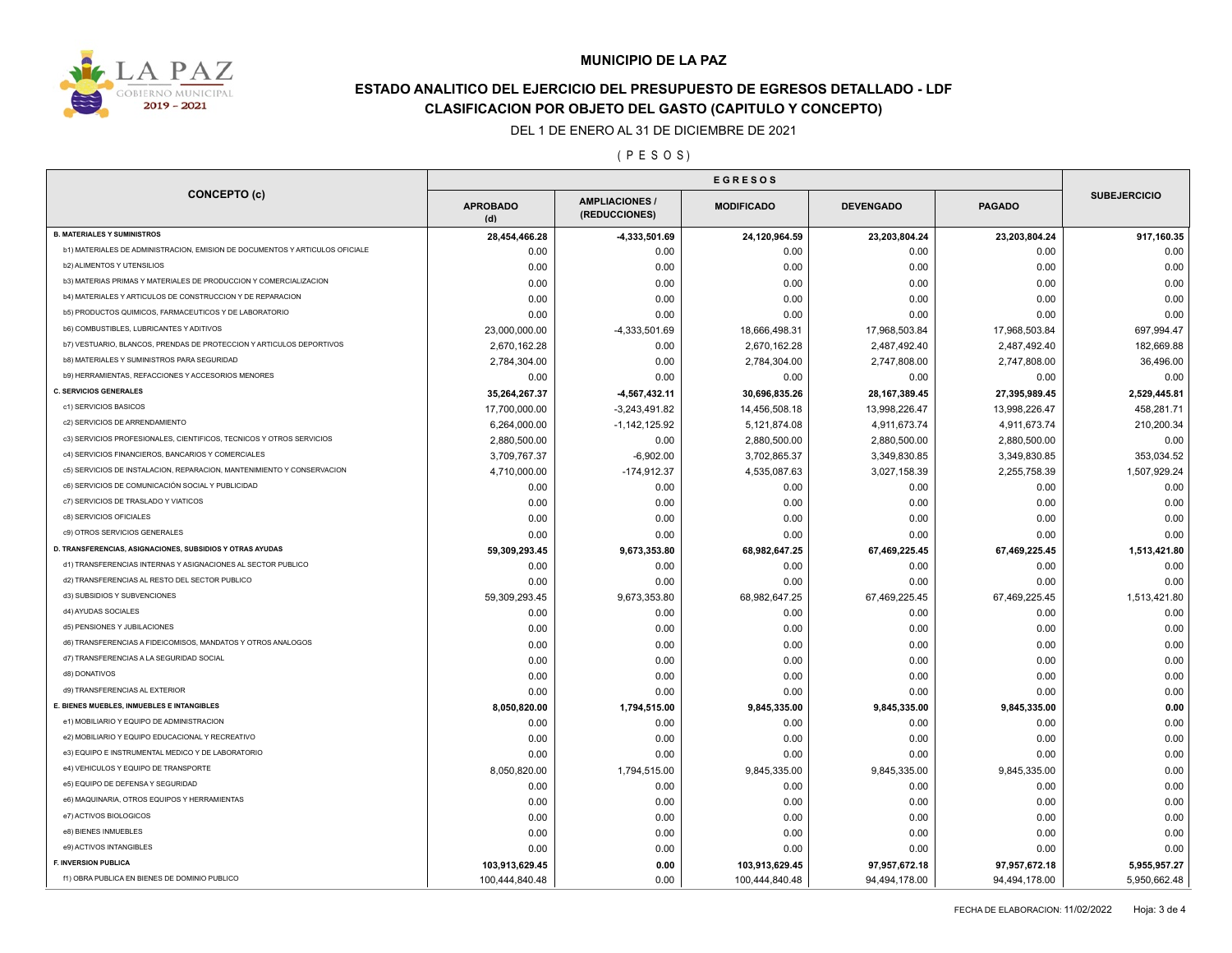

## **ESTADO ANALITICO DEL EJERCICIO DEL PRESUPUESTO DE EGRESOS DETALLADO - LDF CLASIFICACION POR OBJETO DEL GASTO (CAPITULO Y CONCEPTO)**

DEL 1 DE ENERO AL 31 DE DICIEMBRE DE 2021

( P E S O S )

|                                                                              | <b>EGRESOS</b>         |                                      |                   |                  |               |                     |
|------------------------------------------------------------------------------|------------------------|--------------------------------------|-------------------|------------------|---------------|---------------------|
| <b>CONCEPTO (c)</b>                                                          | <b>APROBADO</b><br>(d) | <b>AMPLIACIONES</b><br>(REDUCCIONES) | <b>MODIFICADO</b> | <b>DEVENGADO</b> | <b>PAGADO</b> | <b>SUBEJERCICIO</b> |
| <b>B. MATERIALES Y SUMINISTROS</b>                                           | 28,454,466.28          | 4,333,501.69                         | 24,120,964.59     | 23,203,804.24    | 23,203,804.24 | 917,160.35          |
| b1) MATERIALES DE ADMINISTRACION, EMISION DE DOCUMENTOS Y ARTICULOS OFICIALE | 0.00                   | 0.00                                 | 0.00              | 0.00             | 0.00          | 0.00                |
| b2) ALIMENTOS Y UTENSILIOS                                                   | 0.00                   | 0.00                                 | 0.00              | 0.00             | 0.00          | 0.00                |
| b3) MATERIAS PRIMAS Y MATERIALES DE PRODUCCION Y COMERCIALIZACION            | 0.00                   | 0.00                                 | 0.00              | 0.00             | 0.00          | 0.00                |
| b4) MATERIALES Y ARTICULOS DE CONSTRUCCION Y DE REPARACION                   | 0.00                   | 0.00                                 | 0.00              | 0.00             | 0.00          | 0.00                |
| b5) PRODUCTOS QUIMICOS, FARMACEUTICOS Y DE LABORATORIO                       | 0.00                   | 0.00                                 | 0.00              | 0.00             | 0.00          | 0.00                |
| <b>b6) COMBUSTIBLES, LUBRICANTES Y ADITIVOS</b>                              | 23,000,000.00          | -4,333,501.69                        | 18,666,498.31     | 17,968,503.84    | 17,968,503.84 | 697,994.47          |
| b7) VESTUARIO, BLANCOS, PRENDAS DE PROTECCION Y ARTICULOS DEPORTIVOS         | 2,670,162.28           | 0.00                                 | 2,670,162.28      | 2,487,492.40     | 2,487,492.40  | 182,669.88          |
| b8) MATERIALES Y SUMINISTROS PARA SEGURIDAD                                  | 2,784,304.00           | 0.00                                 | 2,784,304.00      | 2,747,808.00     | 2,747,808.00  | 36,496.00           |
| b9) HERRAMIENTAS, REFACCIONES Y ACCESORIOS MENORES                           | 0.00                   | 0.00                                 | 0.00              | 0.00             | 0.00          | 0.00                |
| <b>C. SERVICIOS GENERALES</b>                                                | 35,264,267.37          | -4,567,432.11                        | 30,696,835.26     | 28, 167, 389.45  | 27,395,989.45 | 2,529,445.81        |
| c1) SERVICIOS BASICOS                                                        | 17,700,000.00          | $-3,243,491.82$                      | 14,456,508.18     | 13,998,226.47    | 13,998,226.47 | 458,281.71          |
| c2) SERVICIOS DE ARRENDAMIENTO                                               | 6,264,000.00           | $-1,142,125.92$                      | 5,121,874.08      | 4,911,673.74     | 4,911,673.74  | 210,200.34          |
| c3) SERVICIOS PROFESIONALES, CIENTIFICOS, TECNICOS Y OTROS SERVICIOS         | 2,880,500.00           | 0.00                                 | 2,880,500.00      | 2,880,500.00     | 2,880,500.00  | 0.00                |
| c4) SERVICIOS FINANCIEROS, BANCARIOS Y COMERCIALES                           | 3,709,767.37           | $-6,902.00$                          | 3,702,865.37      | 3,349,830.85     | 3,349,830.85  | 353,034.52          |
| c5) SERVICIOS DE INSTALACION, REPARACION, MANTENIMIENTO Y CONSERVACION       | 4,710,000.00           | $-174,912.37$                        | 4,535,087.63      | 3,027,158.39     | 2,255,758.39  | 1,507,929.24        |
| c6) SERVICIOS DE COMUNICACIÓN SOCIAL Y PUBLICIDAD                            | 0.00                   | 0.00                                 | 0.00              | 0.00             | 0.00          | 0.00                |
| c7) SERVICIOS DE TRASLADO Y VIATICOS                                         | 0.00                   | 0.00                                 | 0.00              | 0.00             | 0.00          | 0.00                |
| c8) SERVICIOS OFICIALES                                                      | 0.00                   | 0.00                                 | 0.00              | 0.00             | 0.00          | 0.00                |
| c9) OTROS SERVICIOS GENERALES                                                | 0.00                   | 0.00                                 | 0.00              | 0.00             | 0.00          | 0.00                |
| D. TRANSFERENCIAS, ASIGNACIONES, SUBSIDIOS Y OTRAS AYUDAS                    | 59,309,293.45          | 9,673,353.80                         | 68,982,647.25     | 67,469,225.45    | 67,469,225.45 | 1,513,421.80        |
| d1) TRANSFERENCIAS INTERNAS Y ASIGNACIONES AL SECTOR PUBLICO                 | 0.00                   | 0.00                                 | 0.00              | 0.00             | 0.00          | 0.00                |
| d2) TRANSFERENCIAS AL RESTO DEL SECTOR PUBLICO                               | 0.00                   | 0.00                                 | 0.00              | 0.00             | 0.00          | 0.00                |
| d3) SUBSIDIOS Y SUBVENCIONES                                                 | 59,309,293.45          | 9,673,353.80                         | 68,982,647.25     | 67,469,225.45    | 67,469,225.45 | 1,513,421.80        |
| d4) AYUDAS SOCIALES                                                          | 0.00                   | 0.00                                 | 0.00              | 0.00             | 0.00          | 0.00                |
| d5) PENSIONES Y JUBILACIONES                                                 | 0.00                   | 0.00                                 | 0.00              | 0.00             | 0.00          | 0.00                |
| d6) TRANSFERENCIAS A FIDEICOMISOS, MANDATOS Y OTROS ANALOGOS                 | 0.00                   | 0.00                                 | 0.00              | 0.00             | 0.00          | 0.00                |
| d7) TRANSFERENCIAS A LA SEGURIDAD SOCIAL                                     | 0.00                   | 0.00                                 | 0.00              | 0.00             | 0.00          | 0.00                |
| d8) DONATIVOS                                                                | 0.00                   | 0.00                                 | 0.00              | 0.00             | 0.00          | 0.00                |
| d9) TRANSFERENCIAS AL EXTERIOR                                               | 0.00                   | 0.00                                 | 0.00              | 0.00             | 0.00          | 0.00                |
| E. BIENES MUEBLES, INMUEBLES E INTANGIBLES                                   | 8,050,820.00           | 1,794,515.00                         | 9,845,335.00      | 9,845,335.00     | 9,845,335.00  | 0.00                |
| e1) MOBILIARIO Y EQUIPO DE ADMINISTRACION                                    | 0.00                   | 0.00                                 | 0.00              | 0.00             | 0.00          | 0.00                |
| e2) MOBILIARIO Y EQUIPO EDUCACIONAL Y RECREATIVO                             | 0.00                   | 0.00                                 | 0.00              | 0.00             | 0.00          | 0.00                |
| e3) EQUIPO E INSTRUMENTAL MEDICO Y DE LABORATORIO                            | 0.00                   | 0.00                                 | 0.00              | 0.00             | 0.00          | 0.00                |
| e4) VEHICULOS Y EQUIPO DE TRANSPORTE                                         | 8,050,820.00           | 1,794,515.00                         | 9,845,335.00      | 9,845,335.00     | 9,845,335.00  | 0.00                |
| e5) EQUIPO DE DEFENSA Y SEGURIDAD                                            | 0.00                   | 0.00                                 | 0.00              | 0.00             | 0.00          | 0.00                |
| e6) MAQUINARIA, OTROS EQUIPOS Y HERRAMIENTAS                                 | 0.00                   | 0.00                                 | 0.00              | 0.00             | 0.00          | 0.00                |
| e7) ACTIVOS BIOLOGICOS                                                       | 0.00                   | 0.00                                 | 0.00              | 0.00             | 0.00          | 0.00                |
| e8) BIENES INMUEBLES                                                         | 0.00                   | 0.00                                 | 0.00              | 0.00             | 0.00          | 0.00                |
| e9) ACTIVOS INTANGIBLES                                                      | 0.00                   | 0.00                                 | 0.00              | 0.00             | 0.00          | 0.00                |
| <b>F. INVERSION PUBLICA</b>                                                  | 103,913,629.45         | 0.00                                 | 103,913,629.45    | 97,957,672.18    | 97,957,672.18 | 5,955,957.27        |
|                                                                              |                        |                                      |                   |                  |               |                     |